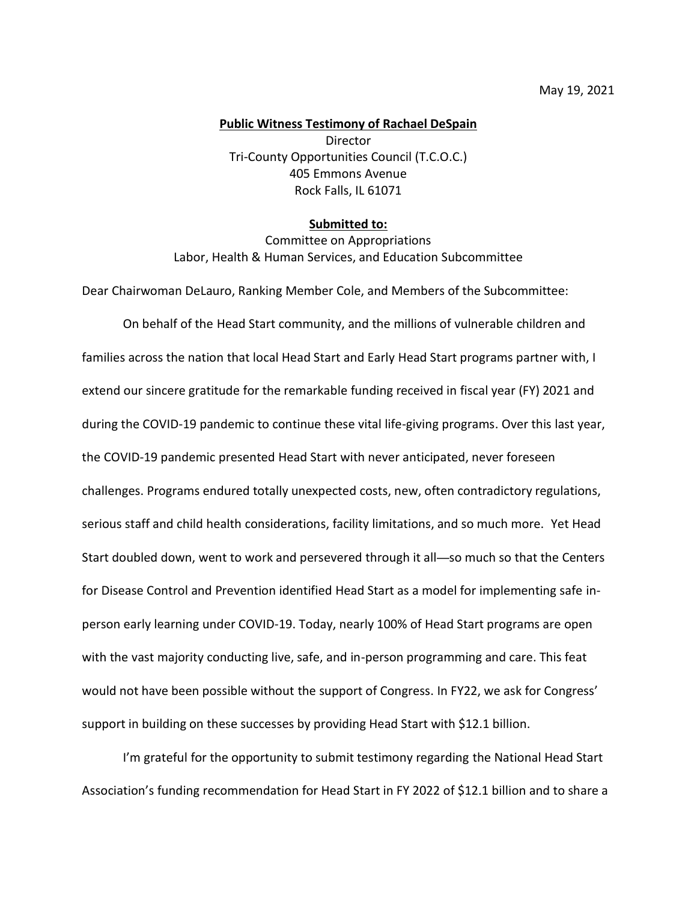## **Public Witness Testimony of Rachael DeSpain**

Director Tri-County Opportunities Council (T.C.O.C.) 405 Emmons Avenue Rock Falls, IL 61071

## **Submitted to:**

Committee on Appropriations Labor, Health & Human Services, and Education Subcommittee

Dear Chairwoman DeLauro, Ranking Member Cole, and Members of the Subcommittee:

On behalf of the Head Start community, and the millions of vulnerable children and families across the nation that local Head Start and Early Head Start programs partner with, I extend our sincere gratitude for the remarkable funding received in fiscal year (FY) 2021 and during the COVID-19 pandemic to continue these vital life-giving programs. Over this last year, the COVID-19 pandemic presented Head Start with never anticipated, never foreseen challenges. Programs endured totally unexpected costs, new, often contradictory regulations, serious staff and child health considerations, facility limitations, and so much more. Yet Head Start doubled down, went to work and persevered through it all—so much so that the Centers for Disease Control and Prevention identified Head Start as a model for implementing safe inperson early learning under COVID-19. Today, nearly 100% of Head Start programs are open with the vast majority conducting live, safe, and in-person programming and care. This feat would not have been possible without the support of Congress. In FY22, we ask for Congress' support in building on these successes by providing Head Start with \$12.1 billion.

I'm grateful for the opportunity to submit testimony regarding the National Head Start Association's funding recommendation for Head Start in FY 2022 of \$12.1 billion and to share a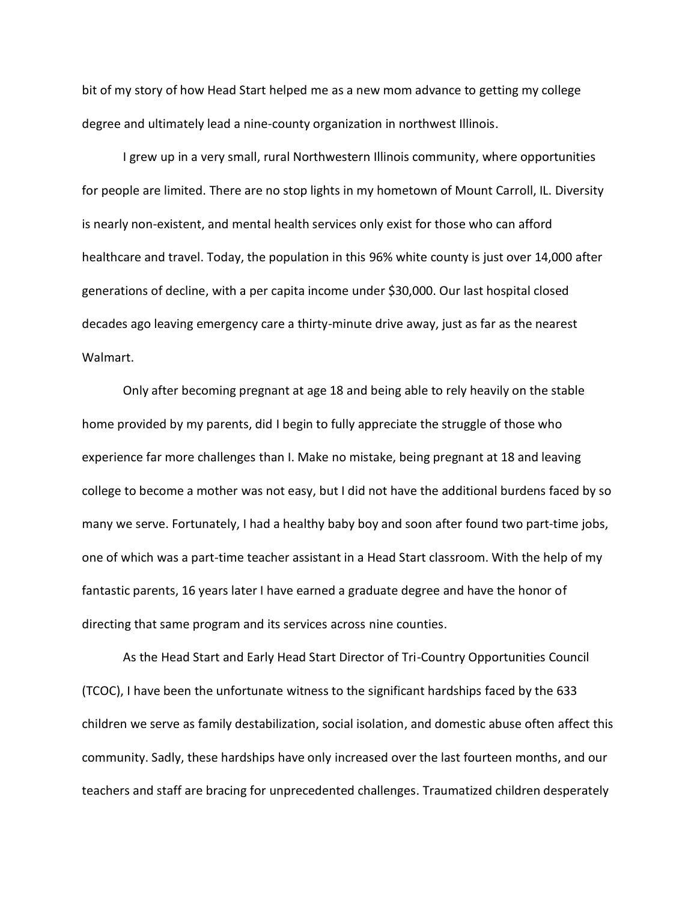bit of my story of how Head Start helped me as a new mom advance to getting my college degree and ultimately lead a nine-county organization in northwest Illinois.

I grew up in a very small, rural Northwestern Illinois community, where opportunities for people are limited. There are no stop lights in my hometown of Mount Carroll, IL. Diversity is nearly non-existent, and mental health services only exist for those who can afford healthcare and travel. Today, the population in this 96% white county is just over 14,000 after generations of decline, with a per capita income under \$30,000. Our last hospital closed decades ago leaving emergency care a thirty-minute drive away, just as far as the nearest Walmart.

Only after becoming pregnant at age 18 and being able to rely heavily on the stable home provided by my parents, did I begin to fully appreciate the struggle of those who experience far more challenges than I. Make no mistake, being pregnant at 18 and leaving college to become a mother was not easy, but I did not have the additional burdens faced by so many we serve. Fortunately, I had a healthy baby boy and soon after found two part-time jobs, one of which was a part-time teacher assistant in a Head Start classroom. With the help of my fantastic parents, 16 years later I have earned a graduate degree and have the honor of directing that same program and its services across nine counties.

As the Head Start and Early Head Start Director of Tri-Country Opportunities Council (TCOC), I have been the unfortunate witness to the significant hardships faced by the 633 children we serve as family destabilization, social isolation, and domestic abuse often affect this community. Sadly, these hardships have only increased over the last fourteen months, and our teachers and staff are bracing for unprecedented challenges. Traumatized children desperately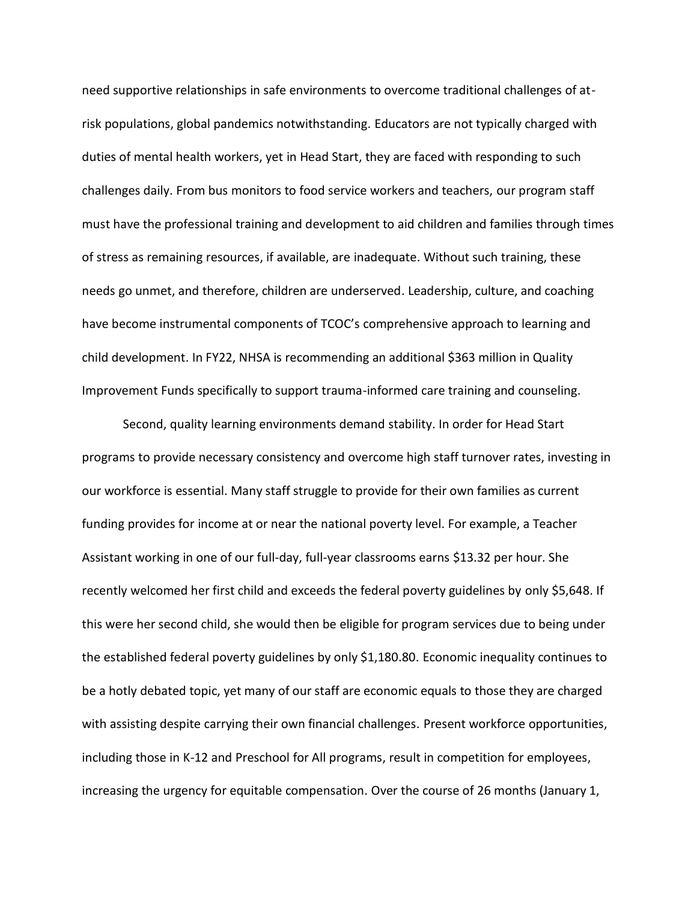need supportive relationships in safe environments to overcome traditional challenges of atrisk populations, global pandemics notwithstanding. Educators are not typically charged with duties of mental health workers, yet in Head Start, they are faced with responding to such challenges daily. From bus monitors to food service workers and teachers, our program staff must have the professional training and development to aid children and families through times of stress as remaining resources, if available, are inadequate. Without such training, these needs go unmet, and therefore, children are underserved. Leadership, culture, and coaching have become instrumental components of TCOC's comprehensive approach to learning and child development. In FY22, NHSA is recommending an additional \$363 million in Quality Improvement Funds specifically to support trauma-informed care training and counseling.

Second, quality learning environments demand stability. In order for Head Start programs to provide necessary consistency and overcome high staff turnover rates, investing in our workforce is essential. Many staff struggle to provide for their own families as current funding provides for income at or near the national poverty level. For example, a Teacher Assistant working in one of our full-day, full-year classrooms earns \$13.32 per hour. She recently welcomed her first child and exceeds the federal poverty guidelines by only \$5,648. If this were her second child, she would then be eligible for program services due to being under the established federal poverty guidelines by only \$1,180.80. Economic inequality continues to be a hotly debated topic, yet many of our staff are economic equals to those they are charged with assisting despite carrying their own financial challenges. Present workforce opportunities, including those in K-12 and Preschool for All programs, result in competition for employees, increasing the urgency for equitable compensation. Over the course of 26 months (January 1,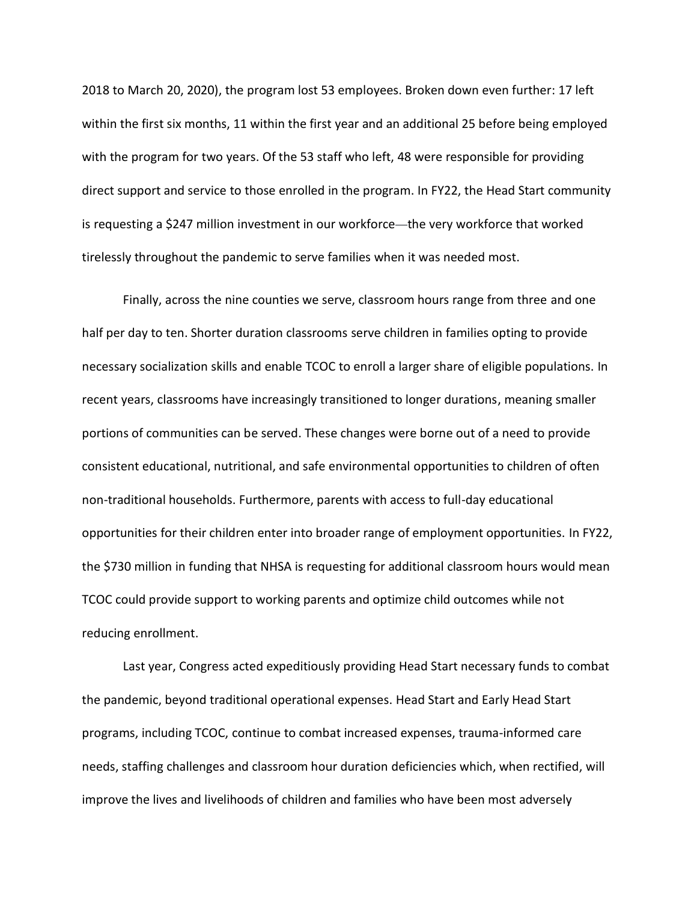2018 to March 20, 2020), the program lost 53 employees. Broken down even further: 17 left within the first six months, 11 within the first year and an additional 25 before being employed with the program for two years. Of the 53 staff who left, 48 were responsible for providing direct support and service to those enrolled in the program. In FY22, the Head Start community is requesting a \$247 million investment in our workforce—the very workforce that worked tirelessly throughout the pandemic to serve families when it was needed most.

Finally, across the nine counties we serve, classroom hours range from three and one half per day to ten. Shorter duration classrooms serve children in families opting to provide necessary socialization skills and enable TCOC to enroll a larger share of eligible populations. In recent years, classrooms have increasingly transitioned to longer durations, meaning smaller portions of communities can be served. These changes were borne out of a need to provide consistent educational, nutritional, and safe environmental opportunities to children of often non-traditional households. Furthermore, parents with access to full-day educational opportunities for their children enter into broader range of employment opportunities. In FY22, the \$730 million in funding that NHSA is requesting for additional classroom hours would mean TCOC could provide support to working parents and optimize child outcomes while not reducing enrollment.

Last year, Congress acted expeditiously providing Head Start necessary funds to combat the pandemic, beyond traditional operational expenses. Head Start and Early Head Start programs, including TCOC, continue to combat increased expenses, trauma-informed care needs, staffing challenges and classroom hour duration deficiencies which, when rectified, will improve the lives and livelihoods of children and families who have been most adversely